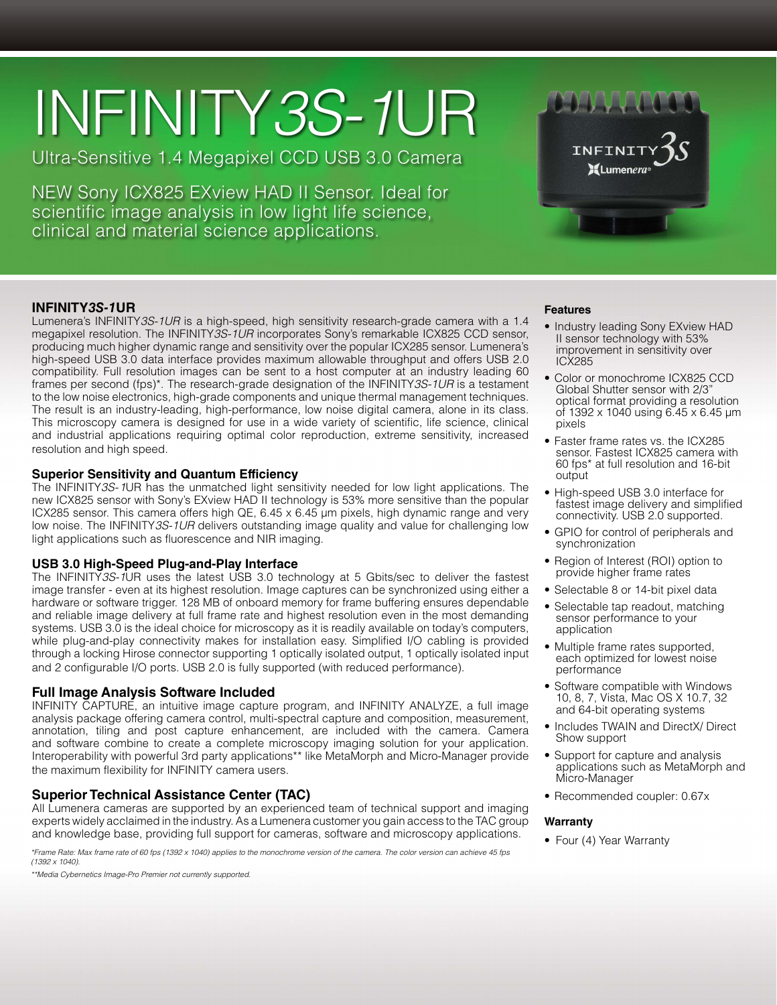# INFINITY*3S-1*UR

Ultra-Sensitive 1.4 Megapixel CCD USB 3.0 Camera

NEW Sony ICX825 EXview HAD II Sensor. Ideal for scientific image analysis in low light life science, clinical and material science applications.



# **INFINITY***3S-1***UR**

Lumenera's INFINITY*3S-1UR* is a high-speed, high sensitivity research-grade camera with a 1.4 megapixel resolution. The INFINITY*3S-1UR* incorporates Sony's remarkable ICX825 CCD sensor, producing much higher dynamic range and sensitivity over the popular ICX285 sensor. Lumenera's high-speed USB 3.0 data interface provides maximum allowable throughput and offers USB 2.0 compatibility. Full resolution images can be sent to a host computer at an industry leading 60 frames per second (fps)\*. The research-grade designation of the INFINITY*3S-1UR* is a testament to the low noise electronics, high-grade components and unique thermal management techniques. The result is an industry-leading, high-performance, low noise digital camera, alone in its class. This microscopy camera is designed for use in a wide variety of scientific, life science, clinical and industrial applications requiring optimal color reproduction, extreme sensitivity, increased resolution and high speed.

#### **Superior Sensitivity and Quantum Efficiency**

The INFINITY*3S-1*UR has the unmatched light sensitivity needed for low light applications. The new ICX825 sensor with Sony's EXview HAD II technology is 53% more sensitive than the popular ICX285 sensor. This camera offers high QE,  $6.45 \times 6.45$  µm pixels, high dynamic range and very low noise. The INFINITY*3S-1UR* delivers outstanding image quality and value for challenging low light applications such as fluorescence and NIR imaging.

## **USB 3.0 High-Speed Plug-and-Play Interface**

The INFINITY*3S-1*UR uses the latest USB 3.0 technology at 5 Gbits/sec to deliver the fastest image transfer - even at its highest resolution. Image captures can be synchronized using either a hardware or software trigger. 128 MB of onboard memory for frame buffering ensures dependable and reliable image delivery at full frame rate and highest resolution even in the most demanding systems. USB 3.0 is the ideal choice for microscopy as it is readily available on today's computers, while plug-and-play connectivity makes for installation easy. Simplified I/O cabling is provided through a locking Hirose connector supporting 1 optically isolated output, 1 optically isolated input and 2 configurable I/O ports. USB 2.0 is fully supported (with reduced performance).

### **Full Image Analysis Software Included**

INFINITY CAPTURE, an intuitive image capture program, and INFINITY ANALYZE, a full image analysis package offering camera control, multi-spectral capture and composition, measurement, annotation, tiling and post capture enhancement, are included with the camera. Camera and software combine to create a complete microscopy imaging solution for your application. Interoperability with powerful 3rd party applications\*\* like MetaMorph and Micro-Manager provide the maximum flexibility for INFINITY camera users.

# **Superior Technical Assistance Center (TAC)**

All Lumenera cameras are supported by an experienced team of technical support and imaging experts widely acclaimed in the industry. As a Lumenera customer you gain access to the TAC group and knowledge base, providing full support for cameras, software and microscopy applications.

*\*Frame Rate: Max frame rate of 60 fps (1392 x 1040) applies to the monochrome version of the camera. The color version can achieve 45 fps (1392 x 1040).*

*\*\*Media Cybernetics Image-Pro Premier not currently supported.*

#### **Features**

- Industry leading Sony EXview HAD II sensor technology with 53% improvement in sensitivity over ICX285
- Color or monochrome ICX825 CCD Global Shutter sensor with 2/3" optical format providing a resolution of 1392 x 1040 using 6.45 x 6.45 μm pixels
- Faster frame rates vs. the ICX285 sensor. Fastest ICX825 camera with 60 fps\* at full resolution and 16-bit output
- High-speed USB 3.0 interface for fastest image delivery and simplified connectivity. USB 2.0 supported.
- GPIO for control of peripherals and synchronization
- Region of Interest (ROI) option to provide higher frame rates
- Selectable 8 or 14-bit pixel data
- Selectable tap readout, matching sensor performance to your application
- Multiple frame rates supported. each optimized for lowest noise performance
- Software compatible with Windows 10, 8, 7, Vista, Mac OS X 10.7, 32 and 64-bit operating systems
- Includes TWAIN and DirectX/ Direct Show support
- Support for capture and analysis applications such as MetaMorph and Micro-Manager
- Recommended coupler: 0.67x

#### **Warranty**

• Four (4) Year Warranty